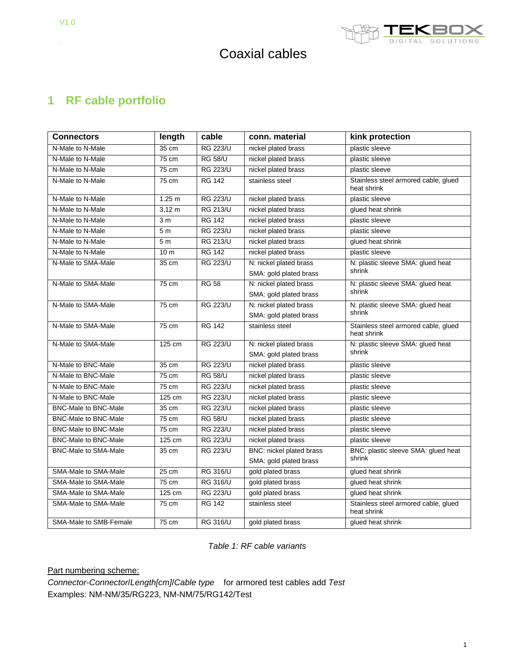

# **1 RF cable portfolio**

| <b>Connectors</b>           | length          | cable           | conn. material           | kink protection                                     |
|-----------------------------|-----------------|-----------------|--------------------------|-----------------------------------------------------|
| N-Male to N-Male            | 35 cm           | <b>RG 223/U</b> | nickel plated brass      | plastic sleeve                                      |
| N-Male to N-Male            | $75 \text{ cm}$ | <b>RG 58/U</b>  | nickel plated brass      | plastic sleeve                                      |
| N-Male to N-Male            | 75 cm           | <b>RG 223/U</b> | nickel plated brass      | plastic sleeve                                      |
| N-Male to N-Male            | 75 cm           | <b>RG 142</b>   | stainless steel          | Stainless steel armored cable, glued<br>heat shrink |
| N-Male to N-Male            | 1.25 m          | <b>RG 223/U</b> | nickel plated brass      | plastic sleeve                                      |
| N-Male to N-Male            | $3,12 \, m$     | <b>RG 213/U</b> | nickel plated brass      | glued heat shrink                                   |
| N-Male to N-Male            | 3 <sub>m</sub>  | <b>RG 142</b>   | nickel plated brass      | plastic sleeve                                      |
| N-Male to N-Male            | 5 <sub>m</sub>  | <b>RG 223/U</b> | nickel plated brass      | plastic sleeve                                      |
| N-Male to N-Male            | 5 <sub>m</sub>  | <b>RG 213/U</b> | nickel plated brass      | glued heat shrink                                   |
| N-Male to N-Male            | 10 <sub>m</sub> | <b>RG 142</b>   | nickel plated brass      | plastic sleeve                                      |
| N-Male to SMA-Male          | 35 cm           | <b>RG 223/U</b> | N: nickel plated brass   | N: plastic sleeve SMA: glued heat                   |
|                             |                 |                 | SMA: gold plated brass   | shrink                                              |
| N-Male to SMA-Male          | 75 cm           | <b>RG 58</b>    | N: nickel plated brass   | N: plastic sleeve SMA: glued heat                   |
|                             |                 |                 | SMA: gold plated brass   | shrink                                              |
| N-Male to SMA-Male          | 75 cm           | <b>RG 223/U</b> | N: nickel plated brass   | N: plastic sleeve SMA: glued heat                   |
|                             |                 |                 | SMA: gold plated brass   | shrink                                              |
| N-Male to SMA-Male          | 75 cm           | <b>RG 142</b>   | stainless steel          | Stainless steel armored cable, glued<br>heat shrink |
| N-Male to SMA-Male          | 125 cm          | <b>RG 223/U</b> | N: nickel plated brass   | N: plastic sleeve SMA: glued heat                   |
|                             |                 |                 | SMA: gold plated brass   | shrink                                              |
| N-Male to BNC-Male          | 35 cm           | <b>RG 223/U</b> | nickel plated brass      | plastic sleeve                                      |
| N-Male to BNC-Male          | 75 cm           | <b>RG 58/U</b>  | nickel plated brass      | plastic sleeve                                      |
| N-Male to BNC-Male          | 75 cm           | <b>RG 223/U</b> | nickel plated brass      | plastic sleeve                                      |
| N-Male to BNC-Male          | 125 cm          | <b>RG 223/U</b> | nickel plated brass      | plastic sleeve                                      |
| <b>BNC-Male to BNC-Male</b> | 35 cm           | <b>RG 223/U</b> | nickel plated brass      | plastic sleeve                                      |
| <b>BNC-Male to BNC-Male</b> | 75 cm           | <b>RG 58/U</b>  | nickel plated brass      | plastic sleeve                                      |
| <b>BNC-Male to BNC-Male</b> | 75 cm           | <b>RG 223/U</b> | nickel plated brass      | plastic sleeve                                      |
| <b>BNC-Male to BNC-Male</b> | 125 cm          | <b>RG 223/U</b> | nickel plated brass      | plastic sleeve                                      |
| <b>BNC-Male to SMA-Male</b> | 35 cm           | <b>RG 223/U</b> | BNC: nickel plated brass | BNC: plastic sleeve SMA: glued heat                 |
|                             |                 |                 | SMA: gold plated brass   | shrink                                              |
| SMA-Male to SMA-Male        | 25 cm           | <b>RG 316/U</b> | gold plated brass        | glued heat shrink                                   |
| SMA-Male to SMA-Male        | 75 cm           | <b>RG 316/U</b> | gold plated brass        | glued heat shrink                                   |
| SMA-Male to SMA-Male        | 125 cm          | <b>RG 223/U</b> | gold plated brass        | glued heat shrink                                   |
| SMA-Male to SMA-Male        | 75 cm           | <b>RG 142</b>   | stainless steel          | Stainless steel armored cable, glued<br>heat shrink |
| SMA-Male to SMB-Female      | 75 cm           | <b>RG 316/U</b> | gold plated brass        | glued heat shrink                                   |

*Table 1: RF cable variants*

Part numbering scheme:

*Connector*-*Connector*/*Length[cm]*/*Cable type* for armored test cables add *Test* Examples: NM-NM/35/RG223, NM-NM/75/RG142/Test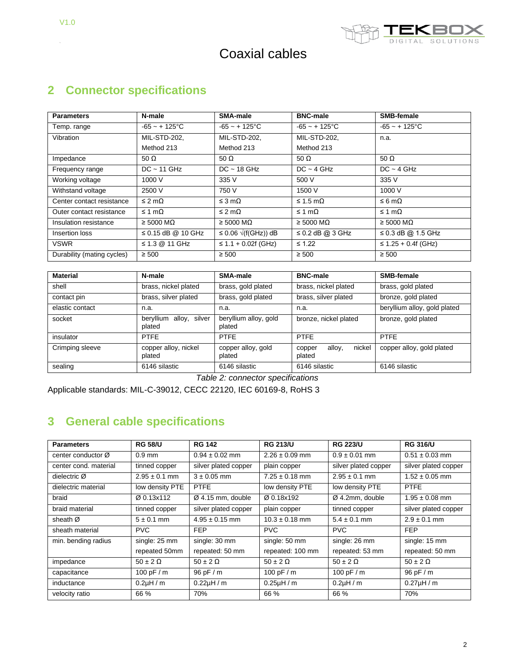$\hat{\mathcal{A}}$ 



# Coaxial cables

# **2 Connector specifications**

| <b>Parameters</b>          | N-male                      | SMA-male                       | <b>BNC-male</b>             | SMB-female                  |
|----------------------------|-----------------------------|--------------------------------|-----------------------------|-----------------------------|
| Temp. range                | $-65 - + 125$ °C            | $-65 - + 125$ °C               | $-65 - + 125$ °C            | $-65 - + 125$ °C            |
| Vibration                  | <b>MIL-STD-202.</b>         | MIL-STD-202.                   | <b>MIL-STD-202.</b>         | n.a.                        |
|                            | Method 213                  | Method 213                     | Method 213                  |                             |
| Impedance                  | 50 $\Omega$                 | 50 $\Omega$                    | 50 $\Omega$                 | 50 $\Omega$                 |
| Frequency range            | $DC \sim 11$ GHz            | $DC - 18 GHz$                  | $DC - 4 GHz$                | $DC - 4 GHz$                |
| Working voltage            | 1000 V                      | 335 V                          | 500 V                       | 335 V                       |
| Withstand voltage          | 2500 V                      | 750 V                          | 1500 V                      | 1000 V                      |
| Center contact resistance  | $\leq$ 2 m $\Omega$         | $\leq$ 3 m $\Omega$            | $\leq$ 1.5 m $\Omega$       | $\leq 6 \text{ m}\Omega$    |
| Outer contact resistance   | ≤ 1 mΩ                      | $\leq$ 2 m $\Omega$            | $\leq 1 \text{ m}\Omega$    | ≤ 1 mΩ                      |
| Insulation resistance      | $\geq 5000 \text{ M}\Omega$ | $\geq 5000 \text{ M}\Omega$    | $\geq 5000 \text{ M}\Omega$ | $\geq 5000 \text{ M}\Omega$ |
| Insertion loss             | $\leq$ 0.15 dB @ 10 GHz     | $\leq$ 0.06 $\sqrt{f(GHz)}$ dB | $\leq$ 0.2 dB @ 3 GHz       | $\leq$ 0.3 dB @ 1.5 GHz     |
| <b>VSWR</b>                | ≤ 1.3 $@$ 11 GHz            | $\leq$ 1.1 + 0.02f (GHz)       | $\leq 1.22$                 | $\leq$ 1.25 + 0.4f (GHz)    |
| Durability (mating cycles) | $\geq 500$                  | $\geq 500$                     | $\geq 500$                  | $\geq 500$                  |

| <b>Material</b> | N-male                            | SMA-male                        | <b>BNC-male</b>                      | SMB-female                   |
|-----------------|-----------------------------------|---------------------------------|--------------------------------------|------------------------------|
| shell           | brass, nickel plated              | brass, gold plated              | brass, nickel plated                 | brass, gold plated           |
| contact pin     | brass, silver plated              | brass, gold plated              | brass, silver plated                 | bronze, gold plated          |
| elastic contact | n.a.                              | n.a.                            | n.a.                                 | beryllium alloy, gold plated |
| socket          | beryllium alloy, silver<br>plated | beryllium alloy, gold<br>plated | bronze, nickel plated                | bronze, gold plated          |
| insulator       | <b>PTFE</b>                       | <b>PTFE</b>                     | <b>PTFE</b>                          | <b>PTFE</b>                  |
| Crimping sleeve | copper alloy, nickel<br>plated    | copper alloy, gold<br>plated    | nickel<br>alloy,<br>copper<br>plated | copper alloy, gold plated    |
| sealing         | 6146 silastic                     | 6146 silastic                   | 6146 silastic                        | 6146 silastic                |

*Table 2: connector specifications*

Applicable standards: MIL-C-39012, CECC 22120, IEC 60169-8, RoHS 3

### **3 General cable specifications**

| <b>Parameters</b>     | <b>RG 58/U</b>                 | <b>RG 142</b>        | <b>RG 213/U</b>    | <b>RG 223/U</b>      | <b>RG 316/U</b>      |
|-----------------------|--------------------------------|----------------------|--------------------|----------------------|----------------------|
| center conductor Ø    | $0.9$ mm                       | $0.94 \pm 0.02$ mm   | $2.26 \pm 0.09$ mm | $0.9 \pm 0.01$ mm    | $0.51 \pm 0.03$ mm   |
| center cond. material | tinned copper                  | silver plated copper | plain copper       | silver plated copper | silver plated copper |
| dielectric Ø          | $2.95 \pm 0.1$ mm              | $3 \pm 0.05$ mm      | $7.25 \pm 0.18$ mm | $2.95 \pm 0.1$ mm    | $1.52 \pm 0.05$ mm   |
| dielectric material   | low density PTE                | <b>PTFE</b>          | low density PTE    | low density PTE      | <b>PTFE</b>          |
| braid                 | Ø 0.13x112                     | $Ø$ 4.15 mm, double  | Ø 0.18x192         | $Ø$ 4.2mm, double    | $1.95 \pm 0.08$ mm   |
| braid material        | tinned copper                  | silver plated copper | plain copper       | tinned copper        | silver plated copper |
| sheath Ø              | $5 \pm 0.1$ mm                 | $4.95 \pm 0.15$ mm   | $10.3 \pm 0.18$ mm | $5.4 \pm 0.1$ mm     | $2.9 \pm 0.1$ mm     |
| sheath material       | <b>PVC</b>                     | <b>FEP</b>           | <b>PVC</b>         | <b>PVC</b>           | <b>FEP</b>           |
| min. bending radius   | single: 25 mm<br>single: 30 mm |                      | single: 50 mm      | single: 26 mm        | single: 15 mm        |
|                       | repeated 50mm                  | repeated: 50 mm      | repeated: 100 mm   | repeated: 53 mm      | repeated: 50 mm      |
| impedance             | $50 \pm 2 \Omega$              | $50 \pm 2 \Omega$    | $50 \pm 2 \Omega$  | $50 \pm 2 \Omega$    | $50 \pm 2 \Omega$    |
| capacitance           | 100 pF $/m$                    | 96 pF / m            | 100 pF $/m$        | 100 pF $/m$          | 96 pF / m            |
| inductance            | $0.2$ µH / m                   | $0.22\mu H/m$        | $0.25\mu H/m$      | $0.2\mu H/m$         | $0.27 \mu H/m$       |
| velocity ratio        | 66 %                           | 70%                  | 66 %               | 66 %                 | 70%                  |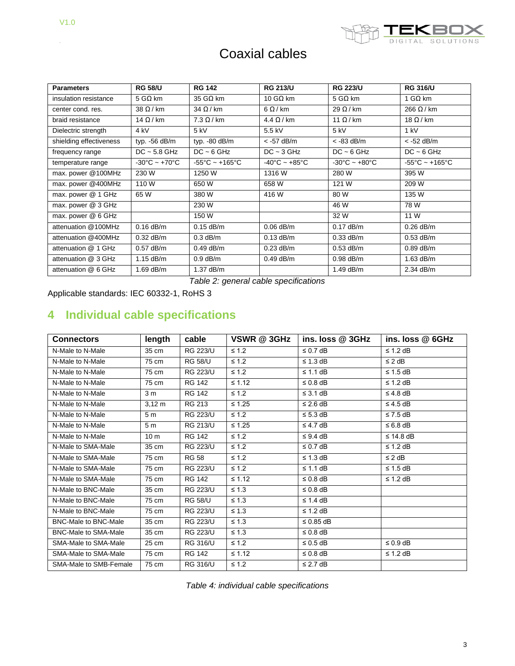$\ddot{\phantom{0}}$ 



# Coaxial cables

| <b>Parameters</b>       | <b>RG 58/U</b>                    | <b>RG 142</b>                       | <b>RG 213/U</b>                   | <b>RG 223/U</b>                   | <b>RG 316/U</b>                     |
|-------------------------|-----------------------------------|-------------------------------------|-----------------------------------|-----------------------------------|-------------------------------------|
| insulation resistance   | 5 GΩ km                           | 35 G $\Omega$ km                    | 10 GΩ km                          | 5 GΩ km                           | 1 GΩ km                             |
| center cond. res.       | $38 \Omega/km$                    | $34 \Omega/km$                      | $6 \Omega/km$                     | $29 \Omega/km$                    | $266 \Omega/km$                     |
| braid resistance        | $14 \Omega/km$                    | $7.3 \Omega/km$                     | $4.4 \Omega/km$                   | 11 $\Omega$ / km                  | 18 $\Omega$ / km                    |
| Dielectric strength     | 4 kV                              | $5$ kV                              | 5.5 kV                            | 5 kV                              | 1 kV                                |
| shielding effectiveness | typ. -56 dB/m                     | typ. -80 dB/m                       | $<$ -57 dB/m                      | $<$ -83 dB/m                      | $<$ -52 dB/m                        |
| frequency range         | $DC - 5.8$ GHz                    | $DC - 6 GHz$                        | $DC - 3 GHz$                      | $DC - 6 GHz$                      | $DC - 6 GHz$                        |
| temperature range       | $-30^{\circ}$ C ~ $+70^{\circ}$ C | $-55^{\circ}$ C ~ +165 $^{\circ}$ C | $-40^{\circ}$ C ~ $+85^{\circ}$ C | $-30^{\circ}$ C ~ $+80^{\circ}$ C | $-55^{\circ}$ C ~ +165 $^{\circ}$ C |
| max. power @100MHz      | 230 W                             | 1250 W                              | 1316 W                            | 280 W                             | 395 W                               |
| max. power @400MHz      | 110 W                             | 650 W                               | 658 W                             | 121 W                             | 209 W                               |
| max. power @ 1 GHz      | 65 W                              | 380 W                               | 416 W                             | 80 W                              | 135 W                               |
| max. power @ 3 GHz      |                                   | 230 W                               |                                   | 46 W                              | 78 W                                |
| max. power @ 6 GHz      |                                   | 150 W                               |                                   | 32 W                              | 11 W                                |
| attenuation @100MHz     | $0.16$ dB/m                       | $0.15$ dB/m                         | $0.06$ dB/m                       | $0.17$ dB/m                       | $0.26$ dB/m                         |
| attenuation @400MHz     | $0.32$ dB/m                       | $0.3$ dB/m                          | $0.13$ dB/m                       | $0.33$ dB/m                       | $0.53$ dB/m                         |
| attenuation @ 1 GHz     | $0.57$ dB/m                       | $0.49$ dB/m                         | $0.23$ dB/m                       | $0.53$ dB/m                       | $0.89$ dB/m                         |
| attenuation @ 3 GHz     | $1.15$ dB/m                       | $0.9$ dB/m                          | $0.49$ dB/m                       | $0.98$ dB/m                       | $1.63$ dB/m                         |
| attenuation @ 6 GHz     | $1.69$ dB/m                       | $1.37$ dB/m                         |                                   | 1.49 dB/m                         | 2.34 dB/m                           |

*Table 2: general cable specifications*

Applicable standards: IEC 60332-1, RoHS 3

### **4 Individual cable specifications**

| <b>Connectors</b>           | length          | cable           | VSWR @ 3GHz | ins. loss @ 3GHz | ins. loss @ 6GHz |
|-----------------------------|-----------------|-----------------|-------------|------------------|------------------|
| N-Male to N-Male            | 35 cm           | <b>RG 223/U</b> | $\leq 1.2$  | $\leq$ 0.7 dB    | $\leq$ 1.2 dB    |
| N-Male to N-Male            | 75 cm           | <b>RG 58/U</b>  | $\leq 1.2$  | $\leq$ 1.3 dB    | $\leq$ 2 dB      |
| N-Male to N-Male            | 75 cm           | <b>RG 223/U</b> | $\leq 1.2$  | $\leq$ 1.1 dB    | $\leq 1.5$ dB    |
| N-Male to N-Male            | 75 cm           | <b>RG 142</b>   | $\leq 1.12$ | $\leq$ 0.8 dB    | $\leq 1.2$ dB    |
| N-Male to N-Male            | 3 <sub>m</sub>  | <b>RG 142</b>   | $\leq 1.2$  | $\leq$ 3.1 dB    | $\leq$ 4.8 dB    |
| N-Male to N-Male            | $3,12 \; m$     | RG 213          | $\leq 1.25$ | $\leq$ 2.6 dB    | $\leq$ 4.5 dB    |
| N-Male to N-Male            | 5 <sub>m</sub>  | <b>RG 223/U</b> | $\leq 1.2$  | $\leq$ 5.3 dB    | $\leq 7.5$ dB    |
| N-Male to N-Male            | 5 <sub>m</sub>  | <b>RG 213/U</b> | $≤ 1.25$    | $\leq$ 4.7 dB    | $\leq 6.8$ dB    |
| N-Male to N-Male            | 10 <sub>m</sub> | <b>RG 142</b>   | $\leq 1.2$  | $\leq$ 9.4 dB    | $\leq$ 14.8 dB   |
| N-Male to SMA-Male          | 35 cm           | <b>RG 223/U</b> | $\leq 1.2$  | $\leq$ 0.7 dB    | $\leq 1.2$ dB    |
| N-Male to SMA-Male          | 75 cm           | <b>RG 58</b>    | $\leq 1.2$  | $\leq$ 1.3 dB    | $\leq$ 2 dB      |
| N-Male to SMA-Male          | 75 cm           | <b>RG 223/U</b> | $\leq 1.2$  | $\leq$ 1.1 dB    | $\leq 1.5$ dB    |
| N-Male to SMA-Male          | 75 cm           | <b>RG 142</b>   | $\leq 1.12$ | $\leq$ 0.8 dB    | $\leq 1.2$ dB    |
| N-Male to BNC-Male          | 35 cm           | <b>RG 223/U</b> | $\leq 1.3$  | $\leq$ 0.8 dB    |                  |
| N-Male to BNC-Male          | 75 cm           | <b>RG 58/U</b>  | $\leq 1.3$  | $\leq$ 1.4 dB    |                  |
| N-Male to BNC-Male          | 75 cm           | <b>RG 223/U</b> | $\leq 1.3$  | $\leq$ 1.2 dB    |                  |
| <b>BNC-Male to BNC-Male</b> | 35 cm           | <b>RG 223/U</b> | $\leq 1.3$  | $\leq$ 0.85 dB   |                  |
| <b>BNC-Male to SMA-Male</b> | 35 cm           | <b>RG 223/U</b> | $\leq 1.3$  | $\leq$ 0.8 dB    |                  |
| SMA-Male to SMA-Male        | 25 cm           | <b>RG 316/U</b> | $\leq 1.2$  | $\leq$ 0.5 dB    | $\leq 0.9$ dB    |
| SMA-Male to SMA-Male        | 75 cm           | <b>RG 142</b>   | $\leq 1.12$ | $\leq$ 0.8 dB    | $\leq$ 1.2 dB    |
| SMA-Male to SMB-Female      | 75 cm           | <b>RG 316/U</b> | $\leq 1.2$  | $\leq$ 2.7 dB    |                  |

*Table 4: individual cable specifications*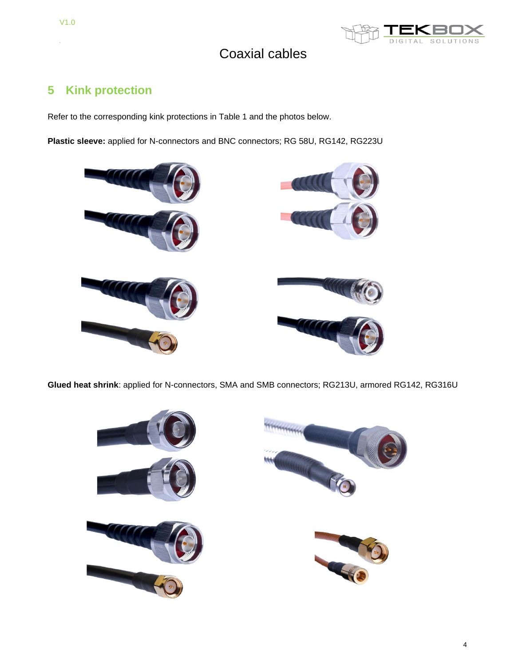

### **5 Kink protection**

Refer to the corresponding kink protections in Table 1 and the photos below.

**Plastic sleeve:** applied for N-connectors and BNC connectors; RG 58U, RG142, RG223U



**Glued heat shrink**: applied for N-connectors, SMA and SMB connectors; RG213U, armored RG142, RG316U

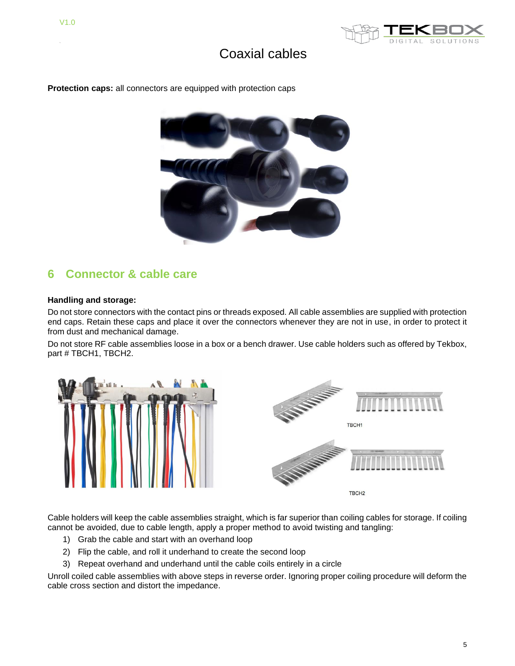

**Protection caps:** all connectors are equipped with protection caps



#### **6 Connector & cable care**

#### **Handling and storage:**

Do not store connectors with the contact pins or threads exposed. All cable assemblies are supplied with protection end caps. Retain these caps and place it over the connectors whenever they are not in use, in order to protect it from dust and mechanical damage.

Do not store RF cable assemblies loose in a box or a bench drawer. Use cable holders such as offered by Tekbox, part # TBCH1, TBCH2.



Cable holders will keep the cable assemblies straight, which is far superior than coiling cables for storage. If coiling cannot be avoided, due to cable length, apply a proper method to avoid twisting and tangling:

- 1) Grab the cable and start with an overhand loop
- 2) Flip the cable, and roll it underhand to create the second loop
- 3) Repeat overhand and underhand until the cable coils entirely in a circle

Unroll coiled cable assemblies with above steps in reverse order. Ignoring proper coiling procedure will deform the cable cross section and distort the impedance.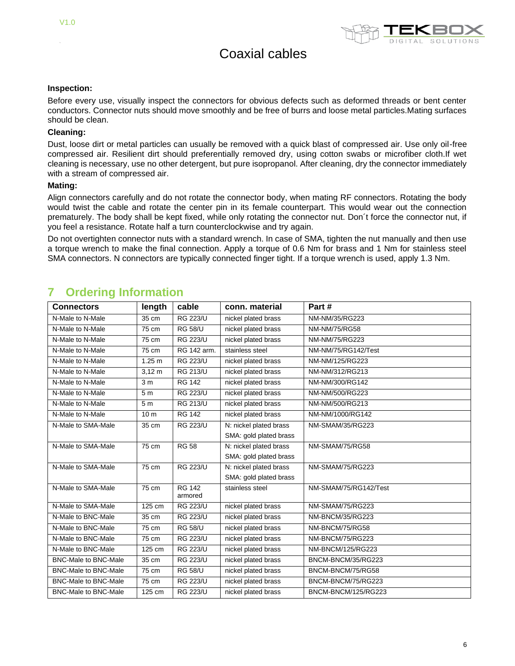

#### **Inspection:**

Before every use, visually inspect the connectors for obvious defects such as deformed threads or bent center conductors. Connector nuts should move smoothly and be free of burrs and loose metal particles.Mating surfaces should be clean.

#### **Cleaning:**

Dust, loose dirt or metal particles can usually be removed with a quick blast of compressed air. Use only oil-free compressed air. Resilient dirt should preferentially removed dry, using cotton swabs or microfiber cloth.If wet cleaning is necessary, use no other detergent, but pure isopropanol. After cleaning, dry the connector immediately with a stream of compressed air.

#### **Mating:**

Align connectors carefully and do not rotate the connector body, when mating RF connectors. Rotating the body would twist the cable and rotate the center pin in its female counterpart. This would wear out the connection prematurely. The body shall be kept fixed, while only rotating the connector nut. Don´t force the connector nut, if you feel a resistance. Rotate half a turn counterclockwise and try again.

Do not overtighten connector nuts with a standard wrench. In case of SMA, tighten the nut manually and then use a torque wrench to make the final connection. Apply a torque of 0.6 Nm for brass and 1 Nm for stainless steel SMA connectors. N connectors are typically connected finger tight. If a torque wrench is used, apply 1.3 Nm.

|  |  |  | <b>Ordering Information</b> |
|--|--|--|-----------------------------|
|  |  |  |                             |

| <b>Connectors</b>           | length          | cable           | conn. material         | Part #                  |
|-----------------------------|-----------------|-----------------|------------------------|-------------------------|
| N-Male to N-Male            | 35 cm           | <b>RG 223/U</b> | nickel plated brass    | NM-NM/35/RG223          |
| N-Male to N-Male            | 75 cm           | <b>RG 58/U</b>  | nickel plated brass    | <b>NM-NM/75/RG58</b>    |
| N-Male to N-Male            | 75 cm           | <b>RG 223/U</b> | nickel plated brass    | NM-NM/75/RG223          |
| N-Male to N-Male            | 75 cm           | RG 142 arm.     | stainless steel        | NM-NM/75/RG142/Test     |
| N-Male to N-Male            | 1.25 m          | <b>RG 223/U</b> | nickel plated brass    | NM-NM/125/RG223         |
| N-Male to N-Male            | $3,12 \, m$     | <b>RG 213/U</b> | nickel plated brass    | NM-NM/312/RG213         |
| N-Male to N-Male            | 3 <sub>m</sub>  | <b>RG 142</b>   | nickel plated brass    | NM-NM/300/RG142         |
| N-Male to N-Male            | 5 <sub>m</sub>  | <b>RG 223/U</b> | nickel plated brass    | NM-NM/500/RG223         |
| N-Male to N-Male            | 5m              | <b>RG 213/U</b> | nickel plated brass    | NM-NM/500/RG213         |
| N-Male to N-Male            | 10 <sub>m</sub> | <b>RG 142</b>   | nickel plated brass    | NM-NM/1000/RG142        |
| N-Male to SMA-Male          | 35 cm           | <b>RG 223/U</b> | N: nickel plated brass | <b>NM-SMAM/35/RG223</b> |
|                             |                 |                 | SMA: gold plated brass |                         |
| N-Male to SMA-Male          | 75 cm           | RG 58           | N: nickel plated brass | NM-SMAM/75/RG58         |
|                             |                 |                 | SMA: gold plated brass |                         |
| N-Male to SMA-Male          | 75 cm           | <b>RG 223/U</b> | N: nickel plated brass | <b>NM-SMAM/75/RG223</b> |
|                             |                 |                 | SMA: gold plated brass |                         |
| N-Male to SMA-Male          | 75 cm           | <b>RG 142</b>   | stainless steel        | NM-SMAM/75/RG142/Test   |
|                             |                 | armored         |                        |                         |
| N-Male to SMA-Male          | 125 cm          | <b>RG 223/U</b> | nickel plated brass    | <b>NM-SMAM/75/RG223</b> |
| N-Male to BNC-Male          | 35 cm           | <b>RG 223/U</b> | nickel plated brass    | NM-BNCM/35/RG223        |
| N-Male to BNC-Male          | 75 cm           | <b>RG 58/U</b>  | nickel plated brass    | NM-BNCM/75/RG58         |
| N-Male to BNC-Male          | 75 cm           | <b>RG 223/U</b> | nickel plated brass    | NM-BNCM/75/RG223        |
| N-Male to BNC-Male          | 125 cm          | <b>RG 223/U</b> | nickel plated brass    | NM-BNCM/125/RG223       |
| <b>BNC-Male to BNC-Male</b> | 35 cm           | <b>RG 223/U</b> | nickel plated brass    | BNCM-BNCM/35/RG223      |
| <b>BNC-Male to BNC-Male</b> | 75 cm           | <b>RG 58/U</b>  | nickel plated brass    | BNCM-BNCM/75/RG58       |
| <b>BNC-Male to BNC-Male</b> | 75 cm           | <b>RG 223/U</b> | nickel plated brass    | BNCM-BNCM/75/RG223      |
| <b>BNC-Male to BNC-Male</b> | 125 cm          | <b>RG 223/U</b> | nickel plated brass    | BNCM-BNCM/125/RG223     |